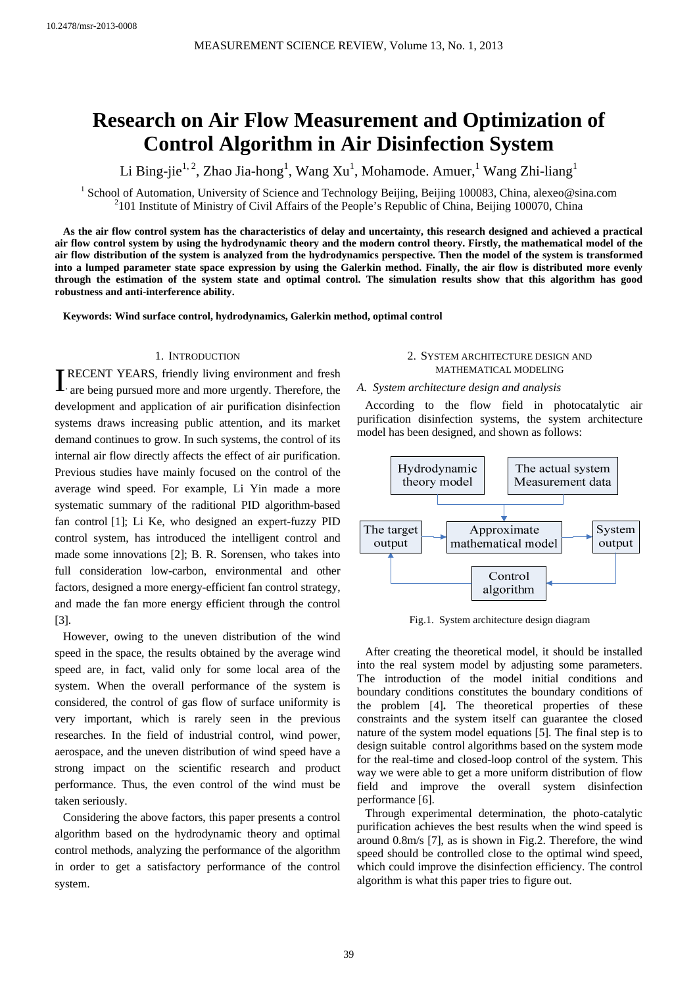# **Research on Air Flow Measurement and Optimization of Control Algorithm in Air Disinfection System**

Li Bing-jie<sup>1, 2</sup>, Zhao Jia-hong<sup>1</sup>, Wang Xu<sup>1</sup>, Mohamode. Amuer, <sup>1</sup> Wang Zhi-liang<sup>1</sup>

<sup>1</sup> School of Automation, University of Science and Technology Beijing, Beijing 100083, China, alexeo@sina.com  $^{2101}$  Institute of Ministry of Givil Affairs of the Beaulaic Beaublic of China, Beijing 100070, China  $101$  Institute of Ministry of Civil Affairs of the People's Republic of China, Beijing 100070, China

**As the air flow control system has the characteristics of delay and uncertainty, this research designed and achieved a practical air flow control system by using the hydrodynamic theory and the modern control theory. Firstly, the mathematical model of the air flow distribution of the system is analyzed from the hydrodynamics perspective. Then the model of the system is transformed into a lumped parameter state space expression by using the Galerkin method. Finally, the air flow is distributed more evenly through the estimation of the system state and optimal control. The simulation results show that this algorithm has good robustness and anti-interference ability.** 

**Keywords: Wind surface control, hydrodynamics, Galerkin method, optimal control** 

## 1. INTRODUCTION

**T**RECENT YEARS, friendly living environment and fresh are being pursued more and more urgently. Therefore, the are being pursued more and more urgently. Therefore, the development and application of air purification disinfection systems draws increasing public attention, and its market demand continues to grow. In such systems, the control of its internal air flow directly affects the effect of air purification. Previous studies have mainly focused on the control of the average wind speed. For example, Li Yin made a more systematic summary of the raditional PID algorithm-based fan control [1]; Li Ke, who designed an expert-fuzzy PID control system, has introduced the intelligent control and made some innovations [2]; B. R. Sorensen, who takes into full consideration low-carbon, environmental and other factors, designed a more energy-efficient fan control strategy, and made the fan more energy efficient through the control [3].

However, owing to the uneven distribution of the wind speed in the space, the results obtained by the average wind speed are, in fact, valid only for some local area of the system. When the overall performance of the system is considered, the control of gas flow of surface uniformity is very important, which is rarely seen in the previous researches. In the field of industrial control, wind power, aerospace, and the uneven distribution of wind speed have a strong impact on the scientific research and product performance. Thus, the even control of the wind must be taken seriously.

Considering the above factors, this paper presents a control algorithm based on the hydrodynamic theory and optimal control methods, analyzing the performance of the algorithm in order to get a satisfactory performance of the control system.

## 2. SYSTEM ARCHITECTURE DESIGN AND MATHEMATICAL MODELING

#### *A. System architecture design and analysis*

According to the flow field in photocatalytic air purification disinfection systems, the system architecture model has been designed, and shown as follows:



Fig.1. System architecture design diagram

After creating the theoretical model, it should be installed into the real system model by adjusting some parameters. The introduction of the model initial conditions and boundary conditions constitutes the boundary conditions of the problem [4]**.** The theoretical properties of these constraints and the system itself can guarantee the closed nature of the system model equations [5]. The final step is to design suitable control algorithms based on the system mode for the real-time and closed-loop control of the system. This way we were able to get a more uniform distribution of flow field and improve the overall system disinfection performance [6].

Through experimental determination, the photo-catalytic purification achieves the best results when the wind speed is around 0.8m/s [7], as is shown in Fig.2. Therefore, the wind speed should be controlled close to the optimal wind speed, which could improve the disinfection efficiency. The control algorithm is what this paper tries to figure out.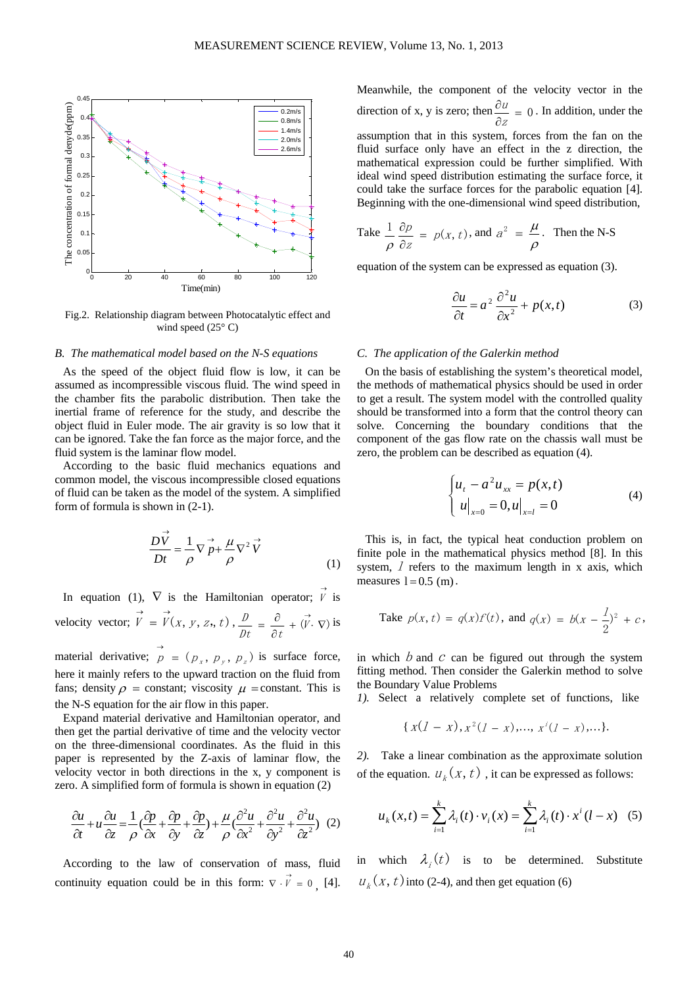

Fig.2. Relationship diagram between Photocatalytic effect and wind speed  $(25^{\circ} \text{ C})$ 

## *B. The mathematical model based on the N-S equations*

As the speed of the object fluid flow is low, it can be assumed as incompressible viscous fluid. The wind speed in the chamber fits the parabolic distribution. Then take the inertial frame of reference for the study, and describe the object fluid in Euler mode. The air gravity is so low that it can be ignored. Take the fan force as the major force, and the fluid system is the laminar flow model.

According to the basic fluid mechanics equations and common model, the viscous incompressible closed equations of fluid can be taken as the model of the system. A simplified form of formula is shown in (2-1).

$$
\frac{D\vec{V}}{Dt} = \frac{1}{\rho} \nabla \vec{p} + \frac{\mu}{\rho} \nabla^2 \vec{V}
$$
\n(1)

In equation (1),  $\nabla$  is the Hamiltonian operator;  $\overrightarrow{V}$  is velocity vector;  $\overrightarrow{V} = \overrightarrow{V}(x, y, z, t)$ ,  $\frac{D}{Dt} = \frac{\partial}{\partial t} + (\overrightarrow{V} \cdot \nabla)$  $\frac{D}{\phantom{0}} = \frac{\partial}{\partial} + (\vec{V} \cdot \nabla)$  is

material derivative;  $\overrightarrow{p} = (p_x, p_y, p_z)$  is surface force, here it mainly refers to the upward traction on the fluid from fans; density  $\rho$  = constant; viscosity  $\mu$  = constant. This is the N-S equation for the air flow in this paper.

Expand material derivative and Hamiltonian operator, and then get the partial derivative of time and the velocity vector on the three-dimensional coordinates. As the fluid in this paper is represented by the Z-axis of laminar flow, the velocity vector in both directions in the x, y component is zero. A simplified form of formula is shown in equation (2)

$$
\frac{\partial u}{\partial t} + u \frac{\partial u}{\partial z} = \frac{1}{\rho} \left( \frac{\partial p}{\partial x} + \frac{\partial p}{\partial y} + \frac{\partial p}{\partial z} \right) + \frac{\mu}{\rho} \left( \frac{\partial^2 u}{\partial x^2} + \frac{\partial^2 u}{\partial y^2} + \frac{\partial^2 u}{\partial z^2} \right) (2)
$$

According to the law of conservation of mass, fluid continuity equation could be in this form:  $\nabla \cdot \vec{v} = 0$ , [4]. Meanwhile, the component of the velocity vector in the direction of x, y is zero; then  $\frac{\partial u}{\partial x} = 0$ ∂ ∂ z  $\frac{u}{u} = 0$ . In addition, under the assumption that in this system, forces from the fan on the fluid surface only have an effect in the z direction, the mathematical expression could be further simplified. With ideal wind speed distribution estimating the surface force, it could take the surface forces for the parabolic equation [4]. Beginning with the one-dimensional wind speed distribution,

Take 
$$
\frac{1}{\rho} \frac{\partial p}{\partial z} = p(x, t)
$$
, and  $a^2 = \frac{\mu}{\rho}$ . Then the N-S

equation of the system can be expressed as equation (3).

$$
\frac{\partial u}{\partial t} = a^2 \frac{\partial^2 u}{\partial x^2} + p(x, t)
$$
 (3)

## *C. The application of the Galerkin method*

On the basis of establishing the system's theoretical model, the methods of mathematical physics should be used in order to get a result. The system model with the controlled quality should be transformed into a form that the control theory can solve. Concerning the boundary conditions that the component of the gas flow rate on the chassis wall must be zero, the problem can be described as equation (4).

$$
\begin{cases} u_t - a^2 u_{xx} = p(x, t) \\ u|_{x=0} = 0, u|_{x=l} = 0 \end{cases}
$$
 (4)

This is, in fact, the typical heat conduction problem on finite pole in the mathematical physics method [8]. In this system,  $\hat{I}$  refers to the maximum length in x axis, which measures  $l = 0.5$  (m).

Take 
$$
p(x, t) = q(x)f(t)
$$
, and  $q(x) = b(x - \frac{1}{2})^2 + c$ ,

in which  $b$  and  $c$  can be figured out through the system fitting method. Then consider the Galerkin method to solve the Boundary Value Problems

*1).* Select a relatively complete set of functions, like

$$
\{x(1-x), x^2(1-x), \ldots, x^i(1-x), \ldots\}.
$$

*2).* Take a linear combination as the approximate solution of the equation.  $u_k(x, t)$ , it can be expressed as follows:

$$
u_{k}(x,t) = \sum_{i=1}^{k} \lambda_{i}(t) \cdot v_{i}(x) = \sum_{i=1}^{k} \lambda_{i}(t) \cdot x^{i}(l-x)
$$
 (5)

in which  $\lambda_i(t)$  is to be determined. Substitute  $u_k(x, t)$  into (2-4), and then get equation (6)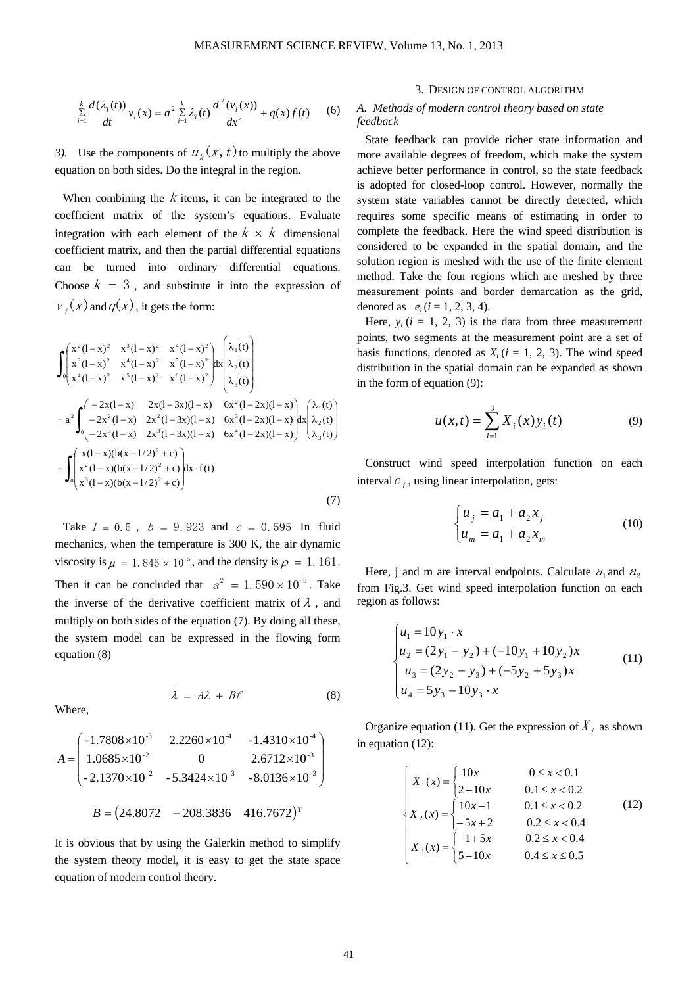$$
\sum_{i=1}^{k} \frac{d(\lambda_i(t))}{dt} v_i(x) = a^2 \sum_{i=1}^{k} \lambda_i(t) \frac{d^2(v_i(x))}{dx^2} + q(x)f(t) \qquad (6)
$$

*3*). Use the components of  $u_k(x, t)$  to multiply the above equation on both sides. Do the integral in the region.

When combining the  $k$  items, it can be integrated to the coefficient matrix of the system's equations. Evaluate integration with each element of the  $k \times k$  dimensional coefficient matrix, and then the partial differential equations can be turned into ordinary differential equations. Choose  $k = 3$ , and substitute it into the expression of  $v_i(x)$  and  $q(x)$ , it gets the form:

$$
\int_{0}^{x^{2}(1-x)^{2}} \begin{pmatrix} x^{3}(1-x)^{2} & x^{4}(1-x)^{2} & x^{4}(1-x)^{2} \\ x^{3}(1-x)^{2} & x^{4}(1-x)^{2} & x^{5}(1-x)^{2} & dx \\ x^{4}(1-x)^{2} & x^{5}(1-x)^{2} & x^{6}(1-x)^{2} & dx \end{pmatrix} dx_{2}(t)
$$
\n
$$
= a^{2} \int_{0}^{x^{2}(1-x)} (-2x^{2}(1-x) - 2x^{2}(1-3x)(1-x) - 6x^{2}(1-2x)(1-x)) dx_{2}(t) dx_{2}(t) dx_{2}(t) dx_{2}(t) dx_{2}(t) dx_{2}(t) dx_{2}(t) dx_{2}(t) dx_{2}(t) dx_{2}(t) dx_{2}(t) dx_{2}(t) dx_{2}(t) dx_{2}(t) dx_{2}(t) dx_{2}(t) dx_{2}(t) dx_{2}(t) dx_{2}(t) dx_{2}(t) dx_{2}(t) dx_{2}(t) dx_{2}(t) dx_{2}(t) dx_{2}(t) dx_{2}(t) dx_{2}(t) dx_{2}(t) dx_{2}(t) dx_{2}(t) dx_{2}(t) dx_{2}(t) dx_{2}(t) dx_{2}(t) dx_{2}(t) dx_{2}(t) dx_{2}(t) dx_{2}(t) dx_{2}(t) dx_{2}(t) dx_{2}(t) dx_{2}(t) dx_{2}(t) dx_{2}(t) dx_{2}(t) dx_{2}(t) dx_{2}(t) dx_{2}(t) dx_{2}(t) dx_{2}(t) dx_{2}(t) dx_{2}(t) dx_{2}(t) dx_{2}(t) dx_{2}(t) dx_{2}(t) dx_{2}(t) dx_{2}(t) dx_{2}(t) dx_{2}(t) dx_{2}(t) dx_{2}(t) dx_{2}(t) dx_{2}(t) dx_{2}(t) dx_{2}(t) dx_{2}(t) dx_{2}(t) dx_{2}(t) dx_{2}(t) dx_{2}(t) dx_{2}(t) dx_{2}(t) dx_{2}(t) dx_{2}(t) dx_{2}(t) dx_{2}(t) dx_{2}(t) dx_{2}(t) dx_{2}(t) dx_{2}(t) dx_{2}(t) dx_{2}(t) dx_{2}(t) dx_{2}(t) dx_{2}(t) dx_{2}(t) dx_{2}(t) dx_{2}(t) dx_{2}(t) dx_{2}(t) dx_{2}(t) dx_{2}(t)
$$

Take  $l = 0.5$ ,  $b = 9.923$  and  $c = 0.595$  In fluid mechanics, when the temperature is 300 K, the air dynamic viscosity is  $\mu = 1.846 \times 10^{-5}$ , and the density is  $\rho = 1.161$ . Then it can be concluded that  $a^2 = 1.590 \times 10^{-5}$ . Take the inverse of the derivative coefficient matrix of  $\lambda$ , and multiply on both sides of the equation (7). By doing all these, the system model can be expressed in the flowing form equation (8)

 $\lambda = A\lambda + Bf$  (8)

Where,

$$
A = \begin{pmatrix} -1.7808 \times 10^{-3} & 2.2260 \times 10^{-4} & -1.4310 \times 10^{-4} \\ 1.0685 \times 10^{-2} & 0 & 2.6712 \times 10^{-3} \\ -2.1370 \times 10^{-2} & -5.3424 \times 10^{-3} & -8.0136 \times 10^{-3} \end{pmatrix}
$$

$$
B = (24.8072 - 208.3836 - 416.7672)^{T}
$$

It is obvious that by using the Galerkin method to simplify the system theory model, it is easy to get the state space equation of modern control theory.

#### 3. DESIGN OF CONTROL ALGORITHM

# *A. Methods of modern control theory based on state feedback*

State feedback can provide richer state information and more available degrees of freedom, which make the system achieve better performance in control, so the state feedback is adopted for closed-loop control. However, normally the system state variables cannot be directly detected, which requires some specific means of estimating in order to complete the feedback. Here the wind speed distribution is considered to be expanded in the spatial domain, and the solution region is meshed with the use of the finite element method. Take the four regions which are meshed by three measurement points and border demarcation as the grid, denoted as  $e_i$  ( $i = 1, 2, 3, 4$ ).

Here,  $y_i$  ( $i = 1, 2, 3$ ) is the data from three measurement points, two segments at the measurement point are a set of basis functions, denoted as  $X_i$  ( $i = 1, 2, 3$ ). The wind speed distribution in the spatial domain can be expanded as shown in the form of equation (9):

$$
u(x,t) = \sum_{i=1}^{3} X_i(x) y_i(t)
$$
 (9)

Construct wind speed interpolation function on each interval  $e_i$ , using linear interpolation, gets:

$$
\begin{cases} u_j = a_1 + a_2 x_j \\ u_m = a_1 + a_2 x_m \end{cases}
$$
\n(10)

Here, j and m are interval endpoints. Calculate  $a_1$  and  $a_2$ from Fig.3. Get wind speed interpolation function on each region as follows:

$$
\begin{cases}\n u_1 = 10y_1 \cdot x \\
 u_2 = (2y_1 - y_2) + (-10y_1 + 10y_2)x \\
 u_3 = (2y_2 - y_3) + (-5y_2 + 5y_3)x \\
 u_4 = 5y_3 - 10y_3 \cdot x\n\end{cases}
$$
\n(11)

Organize equation (11). Get the expression of  $X_i$  as shown in equation (12):

$$
\begin{cases}\nX_1(x) = \begin{cases}\n10x & 0 \le x < 0.1 \\
2 - 10x & 0.1 \le x < 0.2\n\end{cases} \\
X_2(x) = \begin{cases}\n10x - 1 & 0.1 \le x < 0.2 \\
-5x + 2 & 0.2 \le x < 0.4\n\end{cases} \\
X_3(x) = \begin{cases}\n-1 + 5x & 0.2 \le x < 0.4 \\
5 - 10x & 0.4 \le x \le 0.5\n\end{cases}
$$
\n(12)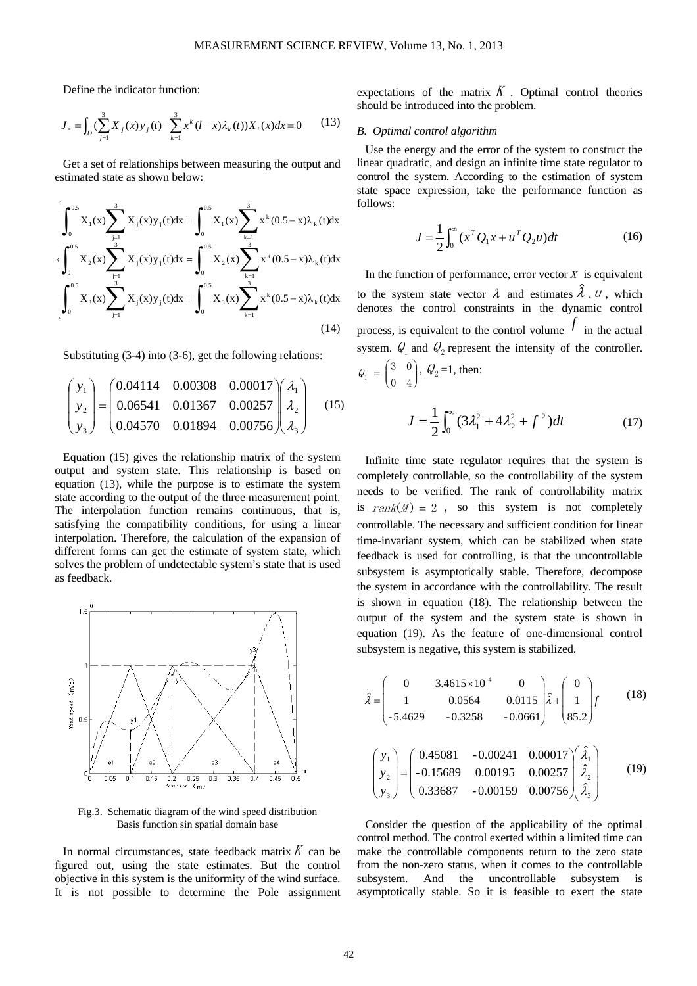Define the indicator function:

$$
J_e = \int_D \left(\sum_{j=1}^3 X_j(x) y_j(t) - \sum_{k=1}^3 x^k (l-x) \lambda_k(t)\right) X_i(x) dx = 0 \tag{13}
$$

Get a set of relationships between measuring the output and estimated state as shown below:

$$
\begin{cases}\n\int_{0}^{0.5} X_{1}(x) \sum_{j=1}^{3} X_{j}(x) y_{j}(t) dx = \int_{0}^{0.5} X_{1}(x) \sum_{k=1}^{3} x^{k} (0.5 - x) \lambda_{k}(t) dx \\
\int_{0}^{0.5} X_{2}(x) \sum_{j=1}^{3} X_{j}(x) y_{j}(t) dx = \int_{0}^{0.5} X_{2}(x) \sum_{k=1}^{3} x^{k} (0.5 - x) \lambda_{k}(t) dx \\
\int_{0}^{0.5} X_{3}(x) \sum_{j=1}^{3} X_{j}(x) y_{j}(t) dx = \int_{0}^{0.5} X_{3}(x) \sum_{k=1}^{3} x^{k} (0.5 - x) \lambda_{k}(t) dx\n\end{cases}
$$
\n(14)

Substituting (3-4) into (3-6), get the following relations:

$$
\begin{pmatrix} y_1 \\ y_2 \\ y_3 \end{pmatrix} = \begin{pmatrix} 0.04114 & 0.00308 & 0.00017 \\ 0.06541 & 0.01367 & 0.00257 \\ 0.04570 & 0.01894 & 0.00756 \end{pmatrix} \begin{pmatrix} \lambda_1 \\ \lambda_2 \\ \lambda_3 \end{pmatrix}
$$
 (15)

Equation (15) gives the relationship matrix of the system output and system state. This relationship is based on equation (13), while the purpose is to estimate the system state according to the output of the three measurement point. The interpolation function remains continuous, that is, satisfying the compatibility conditions, for using a linear interpolation. Therefore, the calculation of the expansion of different forms can get the estimate of system state, which solves the problem of undetectable system's state that is used as feedback.



Fig.3. Schematic diagram of the wind speed distribution Basis function sin spatial domain base

In normal circumstances, state feedback matrix  $K$  can be figured out, using the state estimates. But the control objective in this system is the uniformity of the wind surface. It is not possible to determine the Pole assignment expectations of the matrix  $K$ . Optimal control theories should be introduced into the problem.

#### *B. Optimal control algorithm*

Use the energy and the error of the system to construct the linear quadratic, and design an infinite time state regulator to control the system. According to the estimation of system state space expression, take the performance function as follows:

$$
J = \frac{1}{2} \int_0^{\infty} (x^T Q_1 x + u^T Q_2 u) dt
$$
 (16)

In the function of performance, error vector  $X$  is equivalent to the system state vector  $\lambda$  and estimates  $\lambda$ .  $\mu$ , which denotes the control constraints in the dynamic control process, is equivalent to the control volume  $\bar{f}$  in the actual system.  $Q_1$  and  $Q_2$  represent the intensity of the controller.  $\overline{\phantom{a}}$ ⎠ ⎞  $\parallel$  $Q_1 = \begin{pmatrix} 3 & 0 \\ 0 & 4 \end{pmatrix}$ ,  $Q_2 = 1$ , then:

$$
J = \frac{1}{2} \int_0^\infty (3\lambda_1^2 + 4\lambda_2^2 + f^2) dt
$$
 (17)

Infinite time state regulator requires that the system is completely controllable, so the controllability of the system needs to be verified. The rank of controllability matrix is  $rank(M) = 2$ , so this system is not completely controllable. The necessary and sufficient condition for linear time-invariant system, which can be stabilized when state feedback is used for controlling, is that the uncontrollable subsystem is asymptotically stable. Therefore, decompose the system in accordance with the controllability. The result is shown in equation (18). The relationship between the output of the system and the system state is shown in equation (19). As the feature of one-dimensional control subsystem is negative, this system is stabilized.

$$
\hat{\lambda} = \begin{pmatrix} 0 & 3.4615 \times 10^4 & 0 \\ 1 & 0.0564 & 0.0115 \\ -5.4629 & -0.3258 & -0.0661 \end{pmatrix} \hat{\lambda} + \begin{pmatrix} 0 \\ 1 \\ 85.2 \end{pmatrix} f \qquad (18)
$$

$$
\begin{pmatrix} y_1 \\ y_2 \\ y_3 \end{pmatrix} = \begin{pmatrix} 0.45081 & -0.00241 & 0.00017 \\ -0.15689 & 0.00195 & 0.00257 \\ 0.33687 & -0.00159 & 0.00756 \end{pmatrix} \begin{pmatrix} \hat{\lambda}_1 \\ \hat{\lambda}_2 \\ \hat{\lambda}_3 \end{pmatrix}
$$
 (19)

Consider the question of the applicability of the optimal control method. The control exerted within a limited time can make the controllable components return to the zero state from the non-zero status, when it comes to the controllable subsystem. And the uncontrollable subsystem is asymptotically stable. So it is feasible to exert the state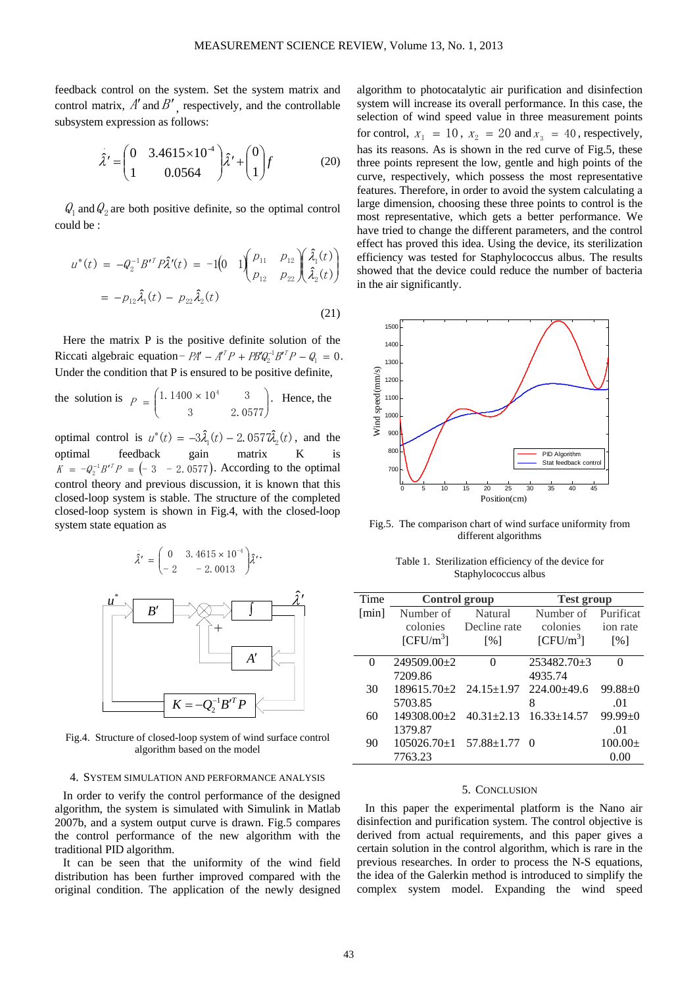feedback control on the system. Set the system matrix and control matrix,  $A'$  and  $B'$ , respectively, and the controllable subsystem expression as follows:

$$
\hat{\lambda}' = \begin{pmatrix} 0 & 3.4615 \times 10^{-4} \\ 1 & 0.0564 \end{pmatrix} \hat{\lambda}' + \begin{pmatrix} 0 \\ 1 \end{pmatrix} f \tag{20}
$$

 $Q_1$  and  $Q_2$  are both positive definite, so the optimal control could be :

$$
u^*(t) = -Q_2^{-1}B'^T P \hat{\lambda}'(t) = -1 \left(0 \t 1 \begin{pmatrix} p_{11} & p_{12} \\ p_{12} & p_{22} \end{pmatrix} \begin{pmatrix} \hat{\lambda}_1(t) \\ \hat{\lambda}_2(t) \end{pmatrix}
$$
  
= -p<sub>12</sub>  $\hat{\lambda}_1(t) - p_{22} \hat{\lambda}_2(t)$  (21)

Here the matrix P is the positive definite solution of the Riccati algebraic equation-  $PA' - A^{T}P + PB'Q_2^{-1}B'^{T}P - Q_1 = 0$ . Under the condition that P is ensured to be positive definite,

the solution is 
$$
P = \begin{pmatrix} 1.1400 \times 10^4 & 3 \\ 3 & 2.0577 \end{pmatrix}
$$
. Hence, the

optimal control is  $u^*(t) = -3\hat{\lambda}_1(t) - 2.057\hat{\lambda}_2(t)$ , and the optimal feedback gain matrix K is  $K = -Q_0^{-1}B^{\prime T}P = (-3 - 2, 0577)$ . According to the optimal control theory and previous discussion, it is known that this closed-loop system is stable. The structure of the completed closed-loop system is shown in Fig.4, with the closed-loop system state equation as

$$
\hat{\lambda}' = \begin{pmatrix} 0 & 3.4615 \times 10^{-4} \\ -2 & -2.0013 \end{pmatrix} \hat{\lambda}'.
$$



Fig.4. Structure of closed-loop system of wind surface control algorithm based on the model

## 4. SYSTEM SIMULATION AND PERFORMANCE ANALYSIS

In order to verify the control performance of the designed algorithm, the system is simulated with Simulink in Matlab 2007b, and a system output curve is drawn. Fig.5 compares the control performance of the new algorithm with the traditional PID algorithm.

It can be seen that the uniformity of the wind field distribution has been further improved compared with the original condition. The application of the newly designed

algorithm to photocatalytic air purification and disinfection system will increase its overall performance. In this case, the selection of wind speed value in three measurement points for control,  $x_1 = 10$ ,  $x_2 = 20$  and  $x_3 = 40$ , respectively, has its reasons. As is shown in the red curve of Fig.5, these three points represent the low, gentle and high points of the curve, respectively, which possess the most representative features. Therefore, in order to avoid the system calculating a large dimension, choosing these three points to control is the most representative, which gets a better performance. We have tried to change the different parameters, and the control effect has proved this idea. Using the device, its sterilization efficiency was tested for Staphylococcus albus. The results showed that the device could reduce the number of bacteria in the air significantly.



Fig.5. The comparison chart of wind surface uniformity from different algorithms

|                      | Table 1. Sterilization efficiency of the device for |  |  |  |
|----------------------|-----------------------------------------------------|--|--|--|
| Staphylococcus albus |                                                     |  |  |  |

| Time  | <b>Control</b> group               |                    | <b>Test group</b>     |                   |
|-------|------------------------------------|--------------------|-----------------------|-------------------|
| [min] | Number of                          | Natural            | Number of             | Purificat         |
|       | colonies                           | Decline rate       | colonies              | ion rate          |
|       | [CFU/m <sup>3</sup> ]              | $\lceil \% \rceil$ | [CFU/m <sup>3</sup> ] | $\lceil\% \rceil$ |
| 0     | $249509.00\pm2$                    | $\mathbf{\Omega}$  | 253482.70±3           |                   |
|       | 7209.86                            |                    | 4935.74               |                   |
| 30    | $189615.70 \pm 2$ $24.15 \pm 1.97$ |                    | $224.00\pm49.6$       | $99.88 \pm 0$     |
|       | 5703.85                            |                    | 8                     | .01               |
| 60    | $149308.00+2$                      | $40.31 \pm 2.13$   | $16.33 \pm 14.57$     | $99.99 \pm 0$     |
|       | 1379.87                            |                    |                       | .01               |
| 90    | $105026.70 \pm 1$ 57.88 $\pm 1.77$ |                    | - ( )                 | $100.00+$         |
|       | 7763.23                            |                    |                       | 0.00              |

#### 5. CONCLUSION

In this paper the experimental platform is the Nano air disinfection and purification system. The control objective is derived from actual requirements, and this paper gives a certain solution in the control algorithm, which is rare in the previous researches. In order to process the N-S equations, the idea of the Galerkin method is introduced to simplify the complex system model. Expanding the wind speed